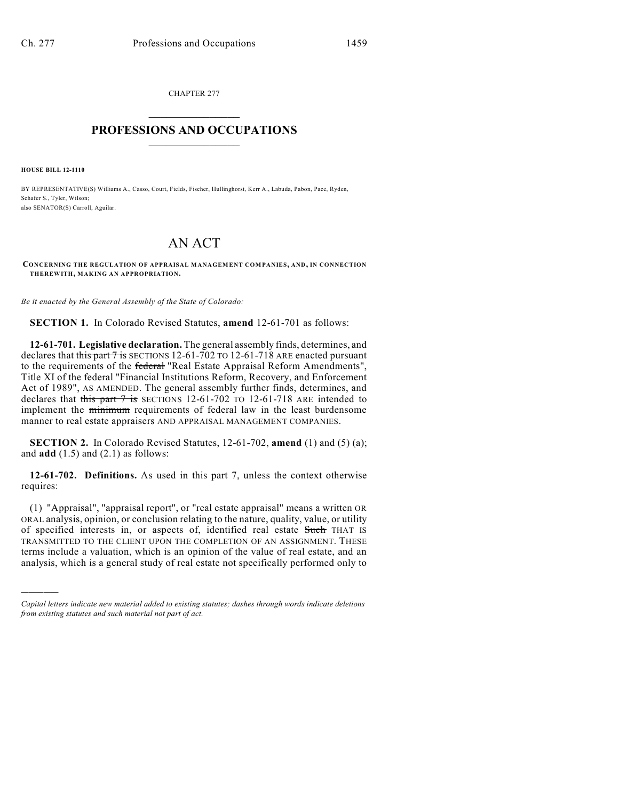CHAPTER 277  $\overline{\phantom{a}}$  . The set of the set of the set of the set of the set of the set of the set of the set of the set of the set of the set of the set of the set of the set of the set of the set of the set of the set of the set o

## **PROFESSIONS AND OCCUPATIONS**  $\frac{1}{2}$  ,  $\frac{1}{2}$  ,  $\frac{1}{2}$  ,  $\frac{1}{2}$  ,  $\frac{1}{2}$  ,  $\frac{1}{2}$

**HOUSE BILL 12-1110**

)))))

BY REPRESENTATIVE(S) Williams A., Casso, Court, Fields, Fischer, Hullinghorst, Kerr A., Labuda, Pabon, Pace, Ryden, Schafer S., Tyler, Wilson; also SENATOR(S) Carroll, Aguilar.

## AN ACT

**CONCERNING THE REGULATION OF APPRAISAL MANAGEMENT COMPANIES, AND, IN CONNECTION THEREWITH, MAKING AN APPROPRIATION.**

*Be it enacted by the General Assembly of the State of Colorado:*

**SECTION 1.** In Colorado Revised Statutes, **amend** 12-61-701 as follows:

**12-61-701. Legislative declaration.** The general assembly finds, determines, and declares that this part 7 is SECTIONS 12-61-702 TO 12-61-718 ARE enacted pursuant to the requirements of the federal "Real Estate Appraisal Reform Amendments", Title XI of the federal "Financial Institutions Reform, Recovery, and Enforcement Act of 1989", AS AMENDED. The general assembly further finds, determines, and declares that this part 7 is SECTIONS 12-61-702 TO 12-61-718 ARE intended to implement the minimum requirements of federal law in the least burdensome manner to real estate appraisers AND APPRAISAL MANAGEMENT COMPANIES.

**SECTION 2.** In Colorado Revised Statutes, 12-61-702, **amend** (1) and (5) (a); and **add** (1.5) and (2.1) as follows:

**12-61-702. Definitions.** As used in this part 7, unless the context otherwise requires:

(1) "Appraisal", "appraisal report", or "real estate appraisal" means a written OR ORAL analysis, opinion, or conclusion relating to the nature, quality, value, or utility of specified interests in, or aspects of, identified real estate Such THAT IS TRANSMITTED TO THE CLIENT UPON THE COMPLETION OF AN ASSIGNMENT. THESE terms include a valuation, which is an opinion of the value of real estate, and an analysis, which is a general study of real estate not specifically performed only to

*Capital letters indicate new material added to existing statutes; dashes through words indicate deletions from existing statutes and such material not part of act.*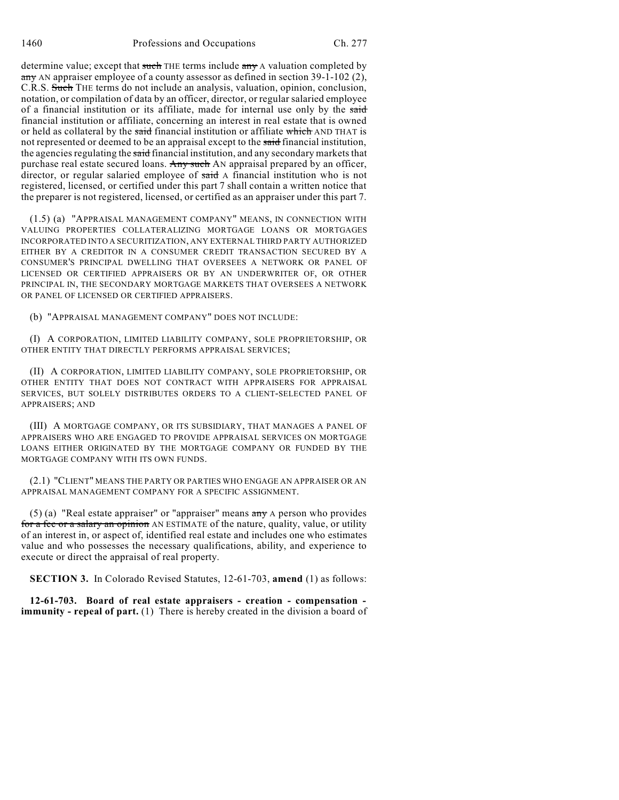determine value; except that such THE terms include  $\frac{a_n}{b_n}$  A valuation completed by any AN appraiser employee of a county assessor as defined in section 39-1-102 (2), C.R.S. Such THE terms do not include an analysis, valuation, opinion, conclusion, notation, or compilation of data by an officer, director, or regular salaried employee of a financial institution or its affiliate, made for internal use only by the said financial institution or affiliate, concerning an interest in real estate that is owned or held as collateral by the said financial institution or affiliate which AND THAT is not represented or deemed to be an appraisal except to the said financial institution, the agencies regulating the said financial institution, and any secondary markets that purchase real estate secured loans. Any such AN appraisal prepared by an officer, director, or regular salaried employee of said A financial institution who is not registered, licensed, or certified under this part 7 shall contain a written notice that the preparer is not registered, licensed, or certified as an appraiser under this part 7.

(1.5) (a) "APPRAISAL MANAGEMENT COMPANY" MEANS, IN CONNECTION WITH VALUING PROPERTIES COLLATERALIZING MORTGAGE LOANS OR MORTGAGES INCORPORATED INTO A SECURITIZATION, ANY EXTERNAL THIRD PARTY AUTHORIZED EITHER BY A CREDITOR IN A CONSUMER CREDIT TRANSACTION SECURED BY A CONSUMER'S PRINCIPAL DWELLING THAT OVERSEES A NETWORK OR PANEL OF LICENSED OR CERTIFIED APPRAISERS OR BY AN UNDERWRITER OF, OR OTHER PRINCIPAL IN, THE SECONDARY MORTGAGE MARKETS THAT OVERSEES A NETWORK OR PANEL OF LICENSED OR CERTIFIED APPRAISERS.

(b) "APPRAISAL MANAGEMENT COMPANY" DOES NOT INCLUDE:

(I) A CORPORATION, LIMITED LIABILITY COMPANY, SOLE PROPRIETORSHIP, OR OTHER ENTITY THAT DIRECTLY PERFORMS APPRAISAL SERVICES;

(II) A CORPORATION, LIMITED LIABILITY COMPANY, SOLE PROPRIETORSHIP, OR OTHER ENTITY THAT DOES NOT CONTRACT WITH APPRAISERS FOR APPRAISAL SERVICES, BUT SOLELY DISTRIBUTES ORDERS TO A CLIENT-SELECTED PANEL OF APPRAISERS; AND

(III) A MORTGAGE COMPANY, OR ITS SUBSIDIARY, THAT MANAGES A PANEL OF APPRAISERS WHO ARE ENGAGED TO PROVIDE APPRAISAL SERVICES ON MORTGAGE LOANS EITHER ORIGINATED BY THE MORTGAGE COMPANY OR FUNDED BY THE MORTGAGE COMPANY WITH ITS OWN FUNDS.

(2.1) "CLIENT" MEANS THE PARTY OR PARTIES WHO ENGAGE AN APPRAISER OR AN APPRAISAL MANAGEMENT COMPANY FOR A SPECIFIC ASSIGNMENT.

(5) (a) "Real estate appraiser" or "appraiser" means any A person who provides for a fee or a salary an opinion AN ESTIMATE of the nature, quality, value, or utility of an interest in, or aspect of, identified real estate and includes one who estimates value and who possesses the necessary qualifications, ability, and experience to execute or direct the appraisal of real property.

**SECTION 3.** In Colorado Revised Statutes, 12-61-703, **amend** (1) as follows:

**12-61-703. Board of real estate appraisers - creation - compensation immunity - repeal of part.** (1) There is hereby created in the division a board of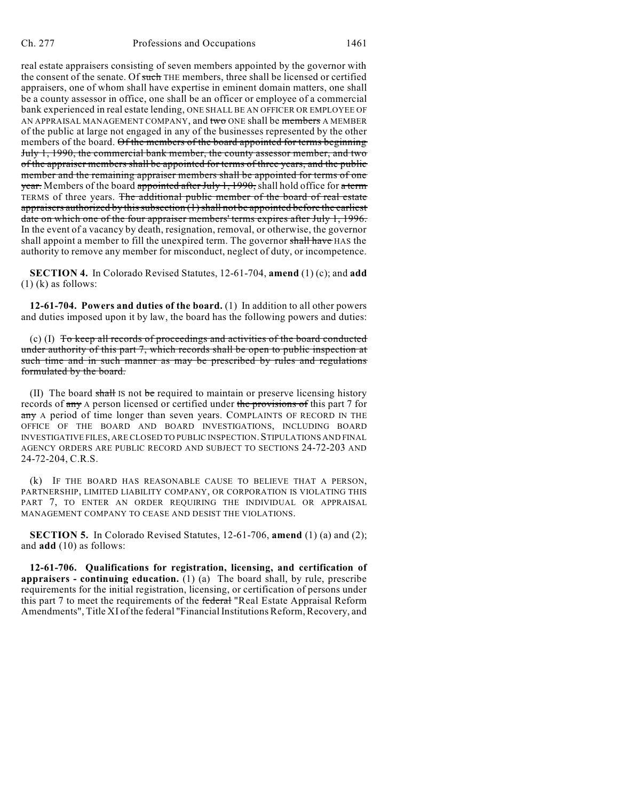real estate appraisers consisting of seven members appointed by the governor with the consent of the senate. Of such THE members, three shall be licensed or certified appraisers, one of whom shall have expertise in eminent domain matters, one shall be a county assessor in office, one shall be an officer or employee of a commercial bank experienced in real estate lending, ONE SHALL BE AN OFFICER OR EMPLOYEE OF AN APPRAISAL MANAGEMENT COMPANY, and two ONE shall be members A MEMBER of the public at large not engaged in any of the businesses represented by the other members of the board. Of the members of the board appointed for terms beginning July 1, 1990, the commercial bank member, the county assessor member, and two of the appraiser members shall be appointed for terms of three years, and the public member and the remaining appraiser members shall be appointed for terms of one year. Members of the board appointed after July 1, 1990, shall hold office for a term TERMS of three years. The additional public member of the board of real estate appraisers authorized by this subsection  $(1)$  shall not be appointed before the earliest date on which one of the four appraiser members' terms expires after July 1, 1996. In the event of a vacancy by death, resignation, removal, or otherwise, the governor shall appoint a member to fill the unexpired term. The governor shall have HAS the authority to remove any member for misconduct, neglect of duty, or incompetence.

**SECTION 4.** In Colorado Revised Statutes, 12-61-704, **amend** (1) (c); and **add**  $(1)$  (k) as follows:

**12-61-704. Powers and duties of the board.** (1) In addition to all other powers and duties imposed upon it by law, the board has the following powers and duties:

(c) (I) To keep all records of proceedings and activities of the board conducted under authority of this part 7, which records shall be open to public inspection at such time and in such manner as may be prescribed by rules and regulations formulated by the board.

(II) The board shall IS not be required to maintain or preserve licensing history records of any A person licensed or certified under the provisions of this part 7 for any A period of time longer than seven years. COMPLAINTS OF RECORD IN THE OFFICE OF THE BOARD AND BOARD INVESTIGATIONS, INCLUDING BOARD INVESTIGATIVE FILES, ARE CLOSED TO PUBLIC INSPECTION.STIPULATIONS AND FINAL AGENCY ORDERS ARE PUBLIC RECORD AND SUBJECT TO SECTIONS 24-72-203 AND 24-72-204, C.R.S.

(k) IF THE BOARD HAS REASONABLE CAUSE TO BELIEVE THAT A PERSON, PARTNERSHIP, LIMITED LIABILITY COMPANY, OR CORPORATION IS VIOLATING THIS PART 7, TO ENTER AN ORDER REQUIRING THE INDIVIDUAL OR APPRAISAL MANAGEMENT COMPANY TO CEASE AND DESIST THE VIOLATIONS.

**SECTION 5.** In Colorado Revised Statutes, 12-61-706, **amend** (1) (a) and (2); and **add** (10) as follows:

**12-61-706. Qualifications for registration, licensing, and certification of appraisers - continuing education.** (1) (a) The board shall, by rule, prescribe requirements for the initial registration, licensing, or certification of persons under this part 7 to meet the requirements of the federal "Real Estate Appraisal Reform Amendments", Title XI of the federal "Financial Institutions Reform, Recovery, and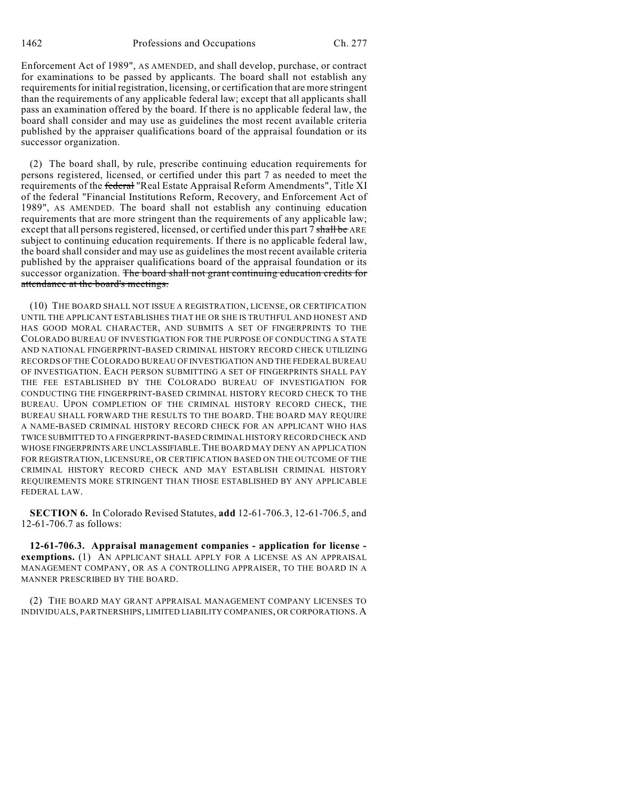Enforcement Act of 1989", AS AMENDED, and shall develop, purchase, or contract for examinations to be passed by applicants. The board shall not establish any requirements for initial registration, licensing, or certification that are more stringent than the requirements of any applicable federal law; except that all applicants shall pass an examination offered by the board. If there is no applicable federal law, the board shall consider and may use as guidelines the most recent available criteria published by the appraiser qualifications board of the appraisal foundation or its successor organization.

(2) The board shall, by rule, prescribe continuing education requirements for persons registered, licensed, or certified under this part 7 as needed to meet the requirements of the federal "Real Estate Appraisal Reform Amendments", Title XI of the federal "Financial Institutions Reform, Recovery, and Enforcement Act of 1989", AS AMENDED. The board shall not establish any continuing education requirements that are more stringent than the requirements of any applicable law; except that all persons registered, licensed, or certified under this part 7 shall be ARE subject to continuing education requirements. If there is no applicable federal law, the board shall consider and may use as guidelines the most recent available criteria published by the appraiser qualifications board of the appraisal foundation or its successor organization. The board shall not grant continuing education credits for attendance at the board's meetings.

(10) THE BOARD SHALL NOT ISSUE A REGISTRATION, LICENSE, OR CERTIFICATION UNTIL THE APPLICANT ESTABLISHES THAT HE OR SHE IS TRUTHFUL AND HONEST AND HAS GOOD MORAL CHARACTER, AND SUBMITS A SET OF FINGERPRINTS TO THE COLORADO BUREAU OF INVESTIGATION FOR THE PURPOSE OF CONDUCTING A STATE AND NATIONAL FINGERPRINT-BASED CRIMINAL HISTORY RECORD CHECK UTILIZING RECORDS OF THECOLORADO BUREAU OF INVESTIGATION AND THE FEDERAL BUREAU OF INVESTIGATION. EACH PERSON SUBMITTING A SET OF FINGERPRINTS SHALL PAY THE FEE ESTABLISHED BY THE COLORADO BUREAU OF INVESTIGATION FOR CONDUCTING THE FINGERPRINT-BASED CRIMINAL HISTORY RECORD CHECK TO THE BUREAU. UPON COMPLETION OF THE CRIMINAL HISTORY RECORD CHECK, THE BUREAU SHALL FORWARD THE RESULTS TO THE BOARD. THE BOARD MAY REQUIRE A NAME-BASED CRIMINAL HISTORY RECORD CHECK FOR AN APPLICANT WHO HAS TWICE SUBMITTED TO A FINGERPRINT-BASED CRIMINAL HISTORY RECORD CHECK AND WHOSE FINGERPRINTS ARE UNCLASSIFIABLE. THE BOARD MAY DENY AN APPLICATION FOR REGISTRATION, LICENSURE, OR CERTIFICATION BASED ON THE OUTCOME OF THE CRIMINAL HISTORY RECORD CHECK AND MAY ESTABLISH CRIMINAL HISTORY REQUIREMENTS MORE STRINGENT THAN THOSE ESTABLISHED BY ANY APPLICABLE FEDERAL LAW.

**SECTION 6.** In Colorado Revised Statutes, **add** 12-61-706.3, 12-61-706.5, and 12-61-706.7 as follows:

**12-61-706.3. Appraisal management companies - application for license exemptions.** (1) AN APPLICANT SHALL APPLY FOR A LICENSE AS AN APPRAISAL MANAGEMENT COMPANY, OR AS A CONTROLLING APPRAISER, TO THE BOARD IN A MANNER PRESCRIBED BY THE BOARD.

(2) THE BOARD MAY GRANT APPRAISAL MANAGEMENT COMPANY LICENSES TO INDIVIDUALS, PARTNERSHIPS, LIMITED LIABILITY COMPANIES, OR CORPORATIONS.A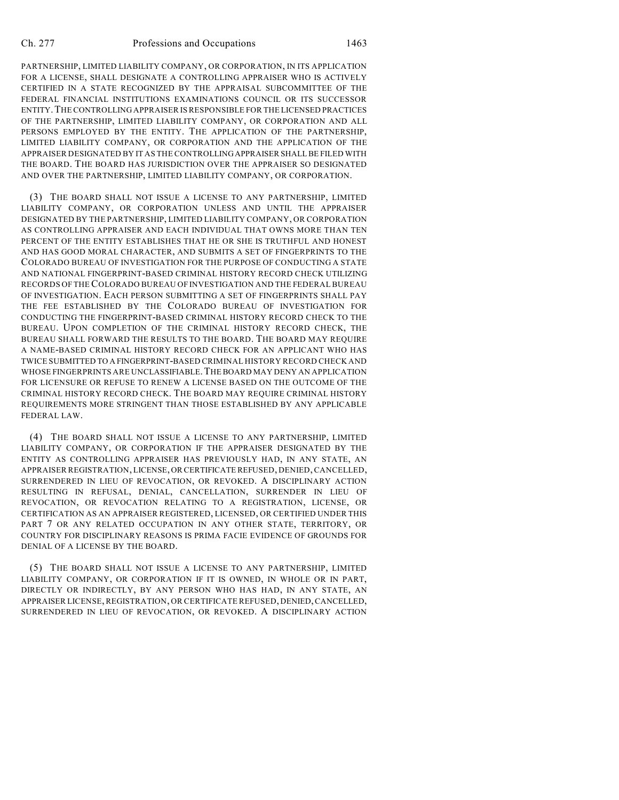PARTNERSHIP, LIMITED LIABILITY COMPANY, OR CORPORATION, IN ITS APPLICATION FOR A LICENSE, SHALL DESIGNATE A CONTROLLING APPRAISER WHO IS ACTIVELY CERTIFIED IN A STATE RECOGNIZED BY THE APPRAISAL SUBCOMMITTEE OF THE FEDERAL FINANCIAL INSTITUTIONS EXAMINATIONS COUNCIL OR ITS SUCCESSOR ENTITY.THE CONTROLLING APPRAISER IS RESPONSIBLE FOR THE LICENSED PRACTICES OF THE PARTNERSHIP, LIMITED LIABILITY COMPANY, OR CORPORATION AND ALL PERSONS EMPLOYED BY THE ENTITY. THE APPLICATION OF THE PARTNERSHIP, LIMITED LIABILITY COMPANY, OR CORPORATION AND THE APPLICATION OF THE APPRAISER DESIGNATED BY IT AS THE CONTROLLINGAPPRAISER SHALL BE FILED WITH THE BOARD. THE BOARD HAS JURISDICTION OVER THE APPRAISER SO DESIGNATED AND OVER THE PARTNERSHIP, LIMITED LIABILITY COMPANY, OR CORPORATION.

(3) THE BOARD SHALL NOT ISSUE A LICENSE TO ANY PARTNERSHIP, LIMITED LIABILITY COMPANY, OR CORPORATION UNLESS AND UNTIL THE APPRAISER DESIGNATED BY THE PARTNERSHIP, LIMITED LIABILITY COMPANY, OR CORPORATION AS CONTROLLING APPRAISER AND EACH INDIVIDUAL THAT OWNS MORE THAN TEN PERCENT OF THE ENTITY ESTABLISHES THAT HE OR SHE IS TRUTHFUL AND HONEST AND HAS GOOD MORAL CHARACTER, AND SUBMITS A SET OF FINGERPRINTS TO THE COLORADO BUREAU OF INVESTIGATION FOR THE PURPOSE OF CONDUCTING A STATE AND NATIONAL FINGERPRINT-BASED CRIMINAL HISTORY RECORD CHECK UTILIZING RECORDS OF THECOLORADO BUREAU OF INVESTIGATION AND THE FEDERAL BUREAU OF INVESTIGATION. EACH PERSON SUBMITTING A SET OF FINGERPRINTS SHALL PAY THE FEE ESTABLISHED BY THE COLORADO BUREAU OF INVESTIGATION FOR CONDUCTING THE FINGERPRINT-BASED CRIMINAL HISTORY RECORD CHECK TO THE BUREAU. UPON COMPLETION OF THE CRIMINAL HISTORY RECORD CHECK, THE BUREAU SHALL FORWARD THE RESULTS TO THE BOARD. THE BOARD MAY REQUIRE A NAME-BASED CRIMINAL HISTORY RECORD CHECK FOR AN APPLICANT WHO HAS TWICE SUBMITTED TO A FINGERPRINT-BASED CRIMINAL HISTORY RECORD CHECK AND WHOSE FINGERPRINTS ARE UNCLASSIFIABLE.THE BOARD MAY DENY AN APPLICATION FOR LICENSURE OR REFUSE TO RENEW A LICENSE BASED ON THE OUTCOME OF THE CRIMINAL HISTORY RECORD CHECK. THE BOARD MAY REQUIRE CRIMINAL HISTORY REQUIREMENTS MORE STRINGENT THAN THOSE ESTABLISHED BY ANY APPLICABLE FEDERAL LAW.

(4) THE BOARD SHALL NOT ISSUE A LICENSE TO ANY PARTNERSHIP, LIMITED LIABILITY COMPANY, OR CORPORATION IF THE APPRAISER DESIGNATED BY THE ENTITY AS CONTROLLING APPRAISER HAS PREVIOUSLY HAD, IN ANY STATE, AN APPRAISER REGISTRATION, LICENSE, OR CERTIFICATE REFUSED, DENIED, CANCELLED, SURRENDERED IN LIEU OF REVOCATION, OR REVOKED. A DISCIPLINARY ACTION RESULTING IN REFUSAL, DENIAL, CANCELLATION, SURRENDER IN LIEU OF REVOCATION, OR REVOCATION RELATING TO A REGISTRATION, LICENSE, OR CERTIFICATION AS AN APPRAISER REGISTERED, LICENSED, OR CERTIFIED UNDER THIS PART 7 OR ANY RELATED OCCUPATION IN ANY OTHER STATE, TERRITORY, OR COUNTRY FOR DISCIPLINARY REASONS IS PRIMA FACIE EVIDENCE OF GROUNDS FOR DENIAL OF A LICENSE BY THE BOARD.

(5) THE BOARD SHALL NOT ISSUE A LICENSE TO ANY PARTNERSHIP, LIMITED LIABILITY COMPANY, OR CORPORATION IF IT IS OWNED, IN WHOLE OR IN PART, DIRECTLY OR INDIRECTLY, BY ANY PERSON WHO HAS HAD, IN ANY STATE, AN APPRAISER LICENSE,REGISTRATION, OR CERTIFICATE REFUSED, DENIED,CANCELLED, SURRENDERED IN LIEU OF REVOCATION, OR REVOKED. A DISCIPLINARY ACTION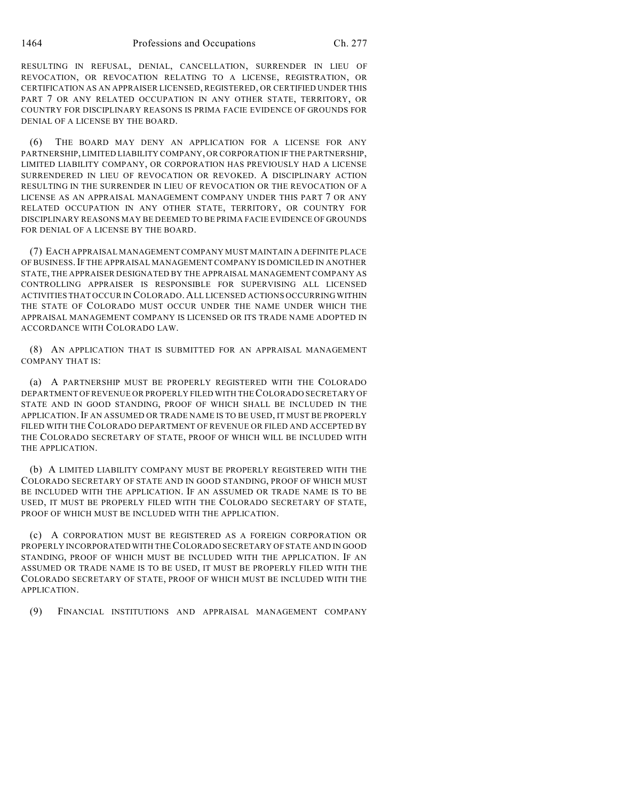RESULTING IN REFUSAL, DENIAL, CANCELLATION, SURRENDER IN LIEU OF REVOCATION, OR REVOCATION RELATING TO A LICENSE, REGISTRATION, OR CERTIFICATION AS AN APPRAISER LICENSED, REGISTERED, OR CERTIFIED UNDER THIS PART 7 OR ANY RELATED OCCUPATION IN ANY OTHER STATE, TERRITORY, OR COUNTRY FOR DISCIPLINARY REASONS IS PRIMA FACIE EVIDENCE OF GROUNDS FOR DENIAL OF A LICENSE BY THE BOARD.

(6) THE BOARD MAY DENY AN APPLICATION FOR A LICENSE FOR ANY PARTNERSHIP, LIMITED LIABILITY COMPANY, OR CORPORATION IF THE PARTNERSHIP, LIMITED LIABILITY COMPANY, OR CORPORATION HAS PREVIOUSLY HAD A LICENSE SURRENDERED IN LIEU OF REVOCATION OR REVOKED. A DISCIPLINARY ACTION RESULTING IN THE SURRENDER IN LIEU OF REVOCATION OR THE REVOCATION OF A LICENSE AS AN APPRAISAL MANAGEMENT COMPANY UNDER THIS PART 7 OR ANY RELATED OCCUPATION IN ANY OTHER STATE, TERRITORY, OR COUNTRY FOR DISCIPLINARY REASONS MAY BE DEEMED TO BE PRIMA FACIE EVIDENCE OF GROUNDS FOR DENIAL OF A LICENSE BY THE BOARD.

(7) EACH APPRAISAL MANAGEMENT COMPANY MUST MAINTAIN A DEFINITE PLACE OF BUSINESS.IF THE APPRAISAL MANAGEMENT COMPANY IS DOMICILED IN ANOTHER STATE, THE APPRAISER DESIGNATED BY THE APPRAISAL MANAGEMENT COMPANY AS CONTROLLING APPRAISER IS RESPONSIBLE FOR SUPERVISING ALL LICENSED ACTIVITIES THAT OCCUR IN COLORADO. ALL LICENSED ACTIONS OCCURRING WITHIN THE STATE OF COLORADO MUST OCCUR UNDER THE NAME UNDER WHICH THE APPRAISAL MANAGEMENT COMPANY IS LICENSED OR ITS TRADE NAME ADOPTED IN ACCORDANCE WITH COLORADO LAW.

(8) AN APPLICATION THAT IS SUBMITTED FOR AN APPRAISAL MANAGEMENT COMPANY THAT IS:

(a) A PARTNERSHIP MUST BE PROPERLY REGISTERED WITH THE COLORADO DEPARTMENT OF REVENUE OR PROPERLY FILED WITH THECOLORADO SECRETARY OF STATE AND IN GOOD STANDING, PROOF OF WHICH SHALL BE INCLUDED IN THE APPLICATION.IF AN ASSUMED OR TRADE NAME IS TO BE USED, IT MUST BE PROPERLY FILED WITH THE COLORADO DEPARTMENT OF REVENUE OR FILED AND ACCEPTED BY THE COLORADO SECRETARY OF STATE, PROOF OF WHICH WILL BE INCLUDED WITH THE APPLICATION.

(b) A LIMITED LIABILITY COMPANY MUST BE PROPERLY REGISTERED WITH THE COLORADO SECRETARY OF STATE AND IN GOOD STANDING, PROOF OF WHICH MUST BE INCLUDED WITH THE APPLICATION. IF AN ASSUMED OR TRADE NAME IS TO BE USED, IT MUST BE PROPERLY FILED WITH THE COLORADO SECRETARY OF STATE, PROOF OF WHICH MUST BE INCLUDED WITH THE APPLICATION.

(c) A CORPORATION MUST BE REGISTERED AS A FOREIGN CORPORATION OR PROPERLY INCORPORATED WITH THECOLORADO SECRETARY OF STATE AND IN GOOD STANDING, PROOF OF WHICH MUST BE INCLUDED WITH THE APPLICATION. IF AN ASSUMED OR TRADE NAME IS TO BE USED, IT MUST BE PROPERLY FILED WITH THE COLORADO SECRETARY OF STATE, PROOF OF WHICH MUST BE INCLUDED WITH THE APPLICATION.

(9) FINANCIAL INSTITUTIONS AND APPRAISAL MANAGEMENT COMPANY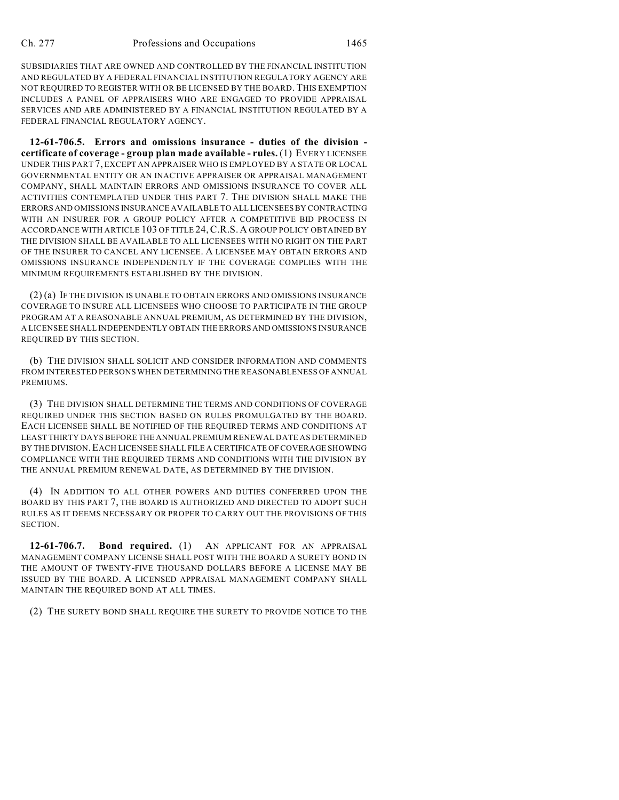SUBSIDIARIES THAT ARE OWNED AND CONTROLLED BY THE FINANCIAL INSTITUTION AND REGULATED BY A FEDERAL FINANCIAL INSTITUTION REGULATORY AGENCY ARE NOT REQUIRED TO REGISTER WITH OR BE LICENSED BY THE BOARD. THIS EXEMPTION INCLUDES A PANEL OF APPRAISERS WHO ARE ENGAGED TO PROVIDE APPRAISAL SERVICES AND ARE ADMINISTERED BY A FINANCIAL INSTITUTION REGULATED BY A FEDERAL FINANCIAL REGULATORY AGENCY.

**12-61-706.5. Errors and omissions insurance - duties of the division certificate of coverage - group plan made available - rules.** (1) EVERY LICENSEE UNDER THIS PART 7, EXCEPT AN APPRAISER WHO IS EMPLOYED BY A STATE OR LOCAL GOVERNMENTAL ENTITY OR AN INACTIVE APPRAISER OR APPRAISAL MANAGEMENT COMPANY, SHALL MAINTAIN ERRORS AND OMISSIONS INSURANCE TO COVER ALL ACTIVITIES CONTEMPLATED UNDER THIS PART 7. THE DIVISION SHALL MAKE THE ERRORS AND OMISSIONS INSURANCE AVAILABLE TO ALL LICENSEESBY CONTRACTING WITH AN INSURER FOR A GROUP POLICY AFTER A COMPETITIVE BID PROCESS IN ACCORDANCE WITH ARTICLE 103 OF TITLE 24,C.R.S. A GROUP POLICY OBTAINED BY THE DIVISION SHALL BE AVAILABLE TO ALL LICENSEES WITH NO RIGHT ON THE PART OF THE INSURER TO CANCEL ANY LICENSEE. A LICENSEE MAY OBTAIN ERRORS AND OMISSIONS INSURANCE INDEPENDENTLY IF THE COVERAGE COMPLIES WITH THE MINIMUM REQUIREMENTS ESTABLISHED BY THE DIVISION.

(2) (a) IF THE DIVISION IS UNABLE TO OBTAIN ERRORS AND OMISSIONS INSURANCE COVERAGE TO INSURE ALL LICENSEES WHO CHOOSE TO PARTICIPATE IN THE GROUP PROGRAM AT A REASONABLE ANNUAL PREMIUM, AS DETERMINED BY THE DIVISION, A LICENSEE SHALL INDEPENDENTLY OBTAIN THE ERRORS AND OMISSIONS INSURANCE REQUIRED BY THIS SECTION.

(b) THE DIVISION SHALL SOLICIT AND CONSIDER INFORMATION AND COMMENTS FROM INTERESTED PERSONS WHEN DETERMINING THE REASONABLENESS OF ANNUAL PREMIUMS.

(3) THE DIVISION SHALL DETERMINE THE TERMS AND CONDITIONS OF COVERAGE REQUIRED UNDER THIS SECTION BASED ON RULES PROMULGATED BY THE BOARD. EACH LICENSEE SHALL BE NOTIFIED OF THE REQUIRED TERMS AND CONDITIONS AT LEAST THIRTY DAYS BEFORE THE ANNUAL PREMIUM RENEWAL DATE AS DETERMINED BY THE DIVISION.EACH LICENSEE SHALL FILE A CERTIFICATE OF COVERAGE SHOWING COMPLIANCE WITH THE REQUIRED TERMS AND CONDITIONS WITH THE DIVISION BY THE ANNUAL PREMIUM RENEWAL DATE, AS DETERMINED BY THE DIVISION.

(4) IN ADDITION TO ALL OTHER POWERS AND DUTIES CONFERRED UPON THE BOARD BY THIS PART 7, THE BOARD IS AUTHORIZED AND DIRECTED TO ADOPT SUCH RULES AS IT DEEMS NECESSARY OR PROPER TO CARRY OUT THE PROVISIONS OF THIS SECTION.

**12-61-706.7. Bond required.** (1) AN APPLICANT FOR AN APPRAISAL MANAGEMENT COMPANY LICENSE SHALL POST WITH THE BOARD A SURETY BOND IN THE AMOUNT OF TWENTY-FIVE THOUSAND DOLLARS BEFORE A LICENSE MAY BE ISSUED BY THE BOARD. A LICENSED APPRAISAL MANAGEMENT COMPANY SHALL MAINTAIN THE REQUIRED BOND AT ALL TIMES.

(2) THE SURETY BOND SHALL REQUIRE THE SURETY TO PROVIDE NOTICE TO THE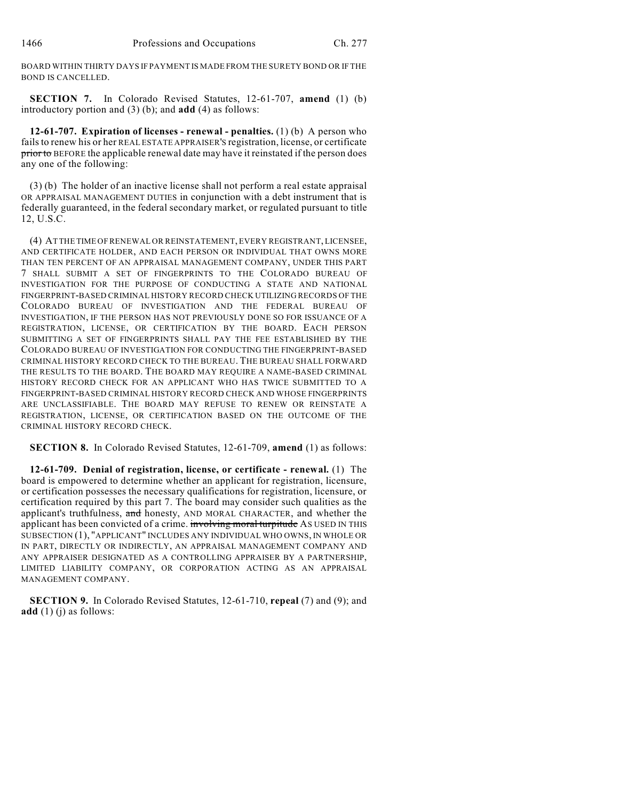BOARD WITHIN THIRTY DAYS IF PAYMENT IS MADE FROM THE SURETY BOND OR IF THE BOND IS CANCELLED.

**SECTION 7.** In Colorado Revised Statutes, 12-61-707, **amend** (1) (b) introductory portion and (3) (b); and **add** (4) as follows:

**12-61-707. Expiration of licenses - renewal - penalties.** (1) (b) A person who fails to renew his or her REAL ESTATE APPRAISER'S registration, license, or certificate prior to BEFORE the applicable renewal date may have it reinstated if the person does any one of the following:

(3) (b) The holder of an inactive license shall not perform a real estate appraisal OR APPRAISAL MANAGEMENT DUTIES in conjunction with a debt instrument that is federally guaranteed, in the federal secondary market, or regulated pursuant to title 12, U.S.C.

(4) AT THE TIME OF RENEWAL OR REINSTATEMENT, EVERY REGISTRANT, LICENSEE, AND CERTIFICATE HOLDER, AND EACH PERSON OR INDIVIDUAL THAT OWNS MORE THAN TEN PERCENT OF AN APPRAISAL MANAGEMENT COMPANY, UNDER THIS PART 7 SHALL SUBMIT A SET OF FINGERPRINTS TO THE COLORADO BUREAU OF INVESTIGATION FOR THE PURPOSE OF CONDUCTING A STATE AND NATIONAL FINGERPRINT-BASED CRIMINAL HISTORY RECORD CHECK UTILIZING RECORDS OF THE COLORADO BUREAU OF INVESTIGATION AND THE FEDERAL BUREAU OF INVESTIGATION, IF THE PERSON HAS NOT PREVIOUSLY DONE SO FOR ISSUANCE OF A REGISTRATION, LICENSE, OR CERTIFICATION BY THE BOARD. EACH PERSON SUBMITTING A SET OF FINGERPRINTS SHALL PAY THE FEE ESTABLISHED BY THE COLORADO BUREAU OF INVESTIGATION FOR CONDUCTING THE FINGERPRINT-BASED CRIMINAL HISTORY RECORD CHECK TO THE BUREAU. THE BUREAU SHALL FORWARD THE RESULTS TO THE BOARD. THE BOARD MAY REQUIRE A NAME-BASED CRIMINAL HISTORY RECORD CHECK FOR AN APPLICANT WHO HAS TWICE SUBMITTED TO A FINGERPRINT-BASED CRIMINAL HISTORY RECORD CHECK AND WHOSE FINGERPRINTS ARE UNCLASSIFIABLE. THE BOARD MAY REFUSE TO RENEW OR REINSTATE A REGISTRATION, LICENSE, OR CERTIFICATION BASED ON THE OUTCOME OF THE CRIMINAL HISTORY RECORD CHECK.

**SECTION 8.** In Colorado Revised Statutes, 12-61-709, **amend** (1) as follows:

**12-61-709. Denial of registration, license, or certificate - renewal.** (1) The board is empowered to determine whether an applicant for registration, licensure, or certification possesses the necessary qualifications for registration, licensure, or certification required by this part 7. The board may consider such qualities as the applicant's truthfulness, and honesty, AND MORAL CHARACTER, and whether the applicant has been convicted of a crime. involving moral turpitude AS USED IN THIS SUBSECTION (1), "APPLICANT" INCLUDES ANY INDIVIDUAL WHO OWNS, IN WHOLE OR IN PART, DIRECTLY OR INDIRECTLY, AN APPRAISAL MANAGEMENT COMPANY AND ANY APPRAISER DESIGNATED AS A CONTROLLING APPRAISER BY A PARTNERSHIP, LIMITED LIABILITY COMPANY, OR CORPORATION ACTING AS AN APPRAISAL MANAGEMENT COMPANY.

**SECTION 9.** In Colorado Revised Statutes, 12-61-710, **repeal** (7) and (9); and **add** (1) (j) as follows: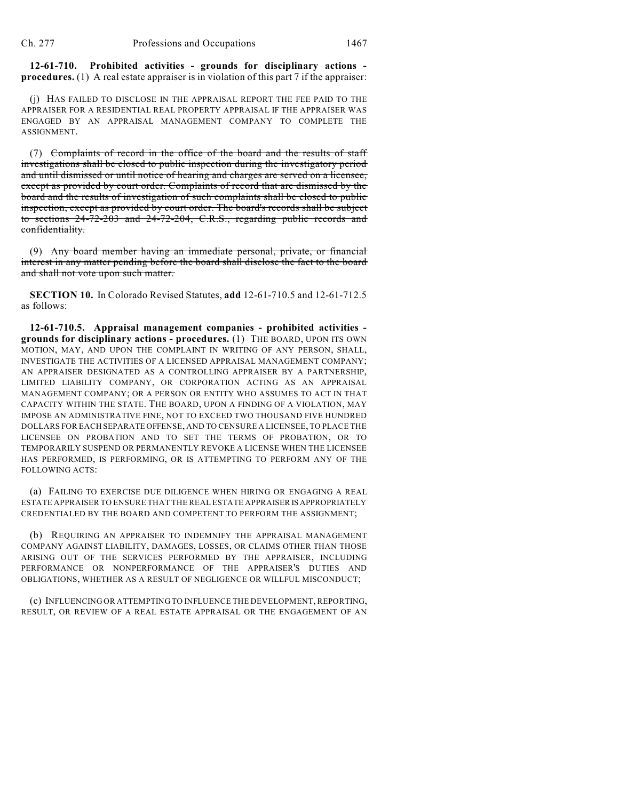**12-61-710. Prohibited activities - grounds for disciplinary actions procedures.** (1) A real estate appraiser is in violation of this part 7 if the appraiser:

(j) HAS FAILED TO DISCLOSE IN THE APPRAISAL REPORT THE FEE PAID TO THE APPRAISER FOR A RESIDENTIAL REAL PROPERTY APPRAISAL IF THE APPRAISER WAS ENGAGED BY AN APPRAISAL MANAGEMENT COMPANY TO COMPLETE THE ASSIGNMENT.

(7) Complaints of record in the office of the board and the results of staff investigations shall be closed to public inspection during the investigatory period and until dismissed or until notice of hearing and charges are served on a licensee, except as provided by court order. Complaints of record that are dismissed by the board and the results of investigation of such complaints shall be closed to public inspection, except as provided by court order. The board's records shall be subject to sections 24-72-203 and 24-72-204, C.R.S., regarding public records and confidentiality.

(9) Any board member having an immediate personal, private, or financial interest in any matter pending before the board shall disclose the fact to the board and shall not vote upon such matter.

**SECTION 10.** In Colorado Revised Statutes, **add** 12-61-710.5 and 12-61-712.5 as follows:

**12-61-710.5. Appraisal management companies - prohibited activities grounds for disciplinary actions - procedures.** (1) THE BOARD, UPON ITS OWN MOTION, MAY, AND UPON THE COMPLAINT IN WRITING OF ANY PERSON, SHALL, INVESTIGATE THE ACTIVITIES OF A LICENSED APPRAISAL MANAGEMENT COMPANY; AN APPRAISER DESIGNATED AS A CONTROLLING APPRAISER BY A PARTNERSHIP, LIMITED LIABILITY COMPANY, OR CORPORATION ACTING AS AN APPRAISAL MANAGEMENT COMPANY; OR A PERSON OR ENTITY WHO ASSUMES TO ACT IN THAT CAPACITY WITHIN THE STATE. THE BOARD, UPON A FINDING OF A VIOLATION, MAY IMPOSE AN ADMINISTRATIVE FINE, NOT TO EXCEED TWO THOUSAND FIVE HUNDRED DOLLARS FOR EACH SEPARATE OFFENSE, AND TO CENSURE A LICENSEE, TO PLACE THE LICENSEE ON PROBATION AND TO SET THE TERMS OF PROBATION, OR TO TEMPORARILY SUSPEND OR PERMANENTLY REVOKE A LICENSE WHEN THE LICENSEE HAS PERFORMED, IS PERFORMING, OR IS ATTEMPTING TO PERFORM ANY OF THE FOLLOWING ACTS:

(a) FAILING TO EXERCISE DUE DILIGENCE WHEN HIRING OR ENGAGING A REAL ESTATE APPRAISER TO ENSURE THAT THE REAL ESTATE APPRAISER IS APPROPRIATELY CREDENTIALED BY THE BOARD AND COMPETENT TO PERFORM THE ASSIGNMENT;

(b) REQUIRING AN APPRAISER TO INDEMNIFY THE APPRAISAL MANAGEMENT COMPANY AGAINST LIABILITY, DAMAGES, LOSSES, OR CLAIMS OTHER THAN THOSE ARISING OUT OF THE SERVICES PERFORMED BY THE APPRAISER, INCLUDING PERFORMANCE OR NONPERFORMANCE OF THE APPRAISER'S DUTIES AND OBLIGATIONS, WHETHER AS A RESULT OF NEGLIGENCE OR WILLFUL MISCONDUCT;

(c) INFLUENCING OR ATTEMPTING TO INFLUENCE THE DEVELOPMENT, REPORTING, RESULT, OR REVIEW OF A REAL ESTATE APPRAISAL OR THE ENGAGEMENT OF AN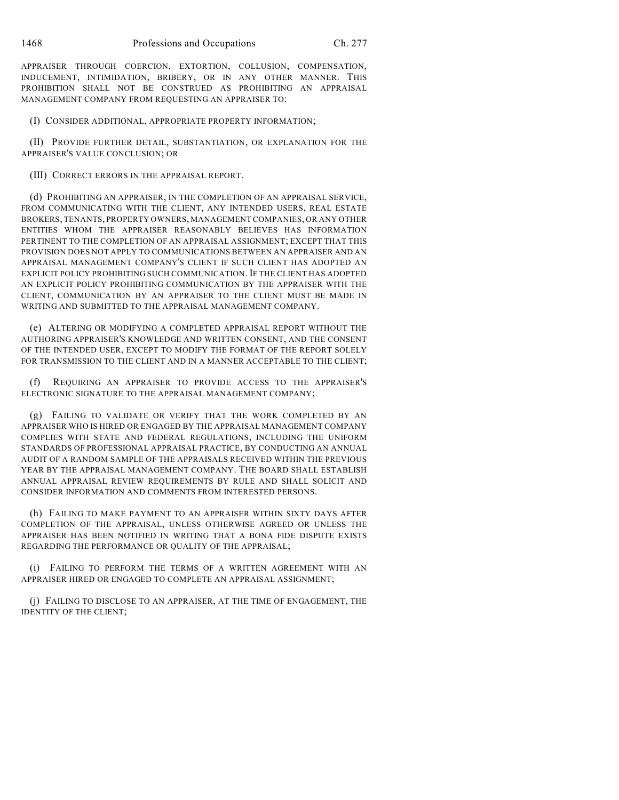APPRAISER THROUGH COERCION, EXTORTION, COLLUSION, COMPENSATION, INDUCEMENT, INTIMIDATION, BRIBERY, OR IN ANY OTHER MANNER. THIS PROHIBITION SHALL NOT BE CONSTRUED AS PROHIBITING AN APPRAISAL MANAGEMENT COMPANY FROM REQUESTING AN APPRAISER TO:

(I) CONSIDER ADDITIONAL, APPROPRIATE PROPERTY INFORMATION;

(II) PROVIDE FURTHER DETAIL, SUBSTANTIATION, OR EXPLANATION FOR THE APPRAISER'S VALUE CONCLUSION; OR

(III) CORRECT ERRORS IN THE APPRAISAL REPORT.

(d) PROHIBITING AN APPRAISER, IN THE COMPLETION OF AN APPRAISAL SERVICE, FROM COMMUNICATING WITH THE CLIENT, ANY INTENDED USERS, REAL ESTATE BROKERS, TENANTS, PROPERTY OWNERS, MANAGEMENT COMPANIES, OR ANY OTHER ENTITIES WHOM THE APPRAISER REASONABLY BELIEVES HAS INFORMATION PERTINENT TO THE COMPLETION OF AN APPRAISAL ASSIGNMENT; EXCEPT THAT THIS PROVISION DOES NOT APPLY TO COMMUNICATIONS BETWEEN AN APPRAISER AND AN APPRAISAL MANAGEMENT COMPANY'S CLIENT IF SUCH CLIENT HAS ADOPTED AN EXPLICIT POLICY PROHIBITING SUCH COMMUNICATION. IF THE CLIENT HAS ADOPTED AN EXPLICIT POLICY PROHIBITING COMMUNICATION BY THE APPRAISER WITH THE CLIENT, COMMUNICATION BY AN APPRAISER TO THE CLIENT MUST BE MADE IN WRITING AND SUBMITTED TO THE APPRAISAL MANAGEMENT COMPANY.

(e) ALTERING OR MODIFYING A COMPLETED APPRAISAL REPORT WITHOUT THE AUTHORING APPRAISER'S KNOWLEDGE AND WRITTEN CONSENT, AND THE CONSENT OF THE INTENDED USER, EXCEPT TO MODIFY THE FORMAT OF THE REPORT SOLELY FOR TRANSMISSION TO THE CLIENT AND IN A MANNER ACCEPTABLE TO THE CLIENT;

(f) REQUIRING AN APPRAISER TO PROVIDE ACCESS TO THE APPRAISER'S ELECTRONIC SIGNATURE TO THE APPRAISAL MANAGEMENT COMPANY;

(g) FAILING TO VALIDATE OR VERIFY THAT THE WORK COMPLETED BY AN APPRAISER WHO IS HIRED OR ENGAGED BY THE APPRAISAL MANAGEMENT COMPANY COMPLIES WITH STATE AND FEDERAL REGULATIONS, INCLUDING THE UNIFORM STANDARDS OF PROFESSIONAL APPRAISAL PRACTICE, BY CONDUCTING AN ANNUAL AUDIT OF A RANDOM SAMPLE OF THE APPRAISALS RECEIVED WITHIN THE PREVIOUS YEAR BY THE APPRAISAL MANAGEMENT COMPANY. THE BOARD SHALL ESTABLISH ANNUAL APPRAISAL REVIEW REQUIREMENTS BY RULE AND SHALL SOLICIT AND CONSIDER INFORMATION AND COMMENTS FROM INTERESTED PERSONS.

(h) FAILING TO MAKE PAYMENT TO AN APPRAISER WITHIN SIXTY DAYS AFTER COMPLETION OF THE APPRAISAL, UNLESS OTHERWISE AGREED OR UNLESS THE APPRAISER HAS BEEN NOTIFIED IN WRITING THAT A BONA FIDE DISPUTE EXISTS REGARDING THE PERFORMANCE OR QUALITY OF THE APPRAISAL;

(i) FAILING TO PERFORM THE TERMS OF A WRITTEN AGREEMENT WITH AN APPRAISER HIRED OR ENGAGED TO COMPLETE AN APPRAISAL ASSIGNMENT;

(j) FAILING TO DISCLOSE TO AN APPRAISER, AT THE TIME OF ENGAGEMENT, THE IDENTITY OF THE CLIENT;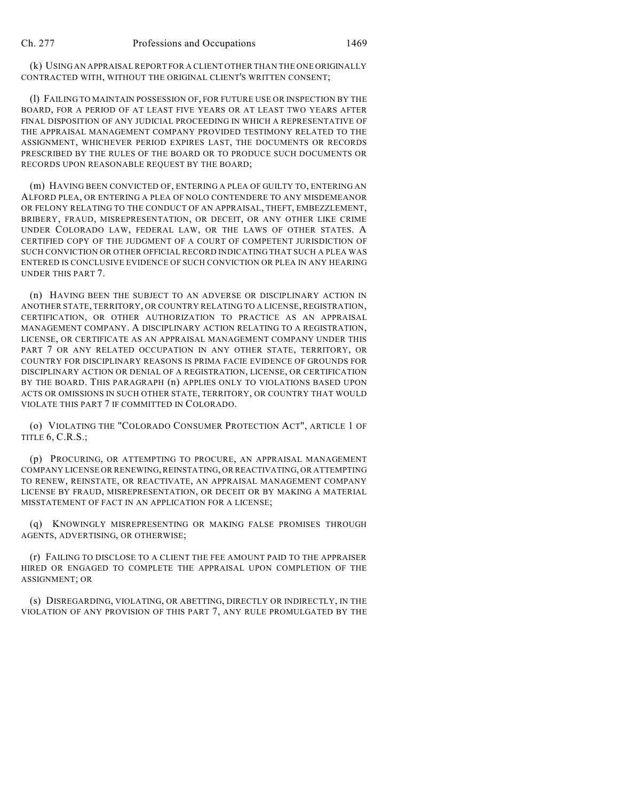(k) USING AN APPRAISAL REPORT FOR A CLIENT OTHER THAN THE ONE ORIGINALLY CONTRACTED WITH, WITHOUT THE ORIGINAL CLIENT'S WRITTEN CONSENT;

(l) FAILING TO MAINTAIN POSSESSION OF, FOR FUTURE USE OR INSPECTION BY THE BOARD, FOR A PERIOD OF AT LEAST FIVE YEARS OR AT LEAST TWO YEARS AFTER FINAL DISPOSITION OF ANY JUDICIAL PROCEEDING IN WHICH A REPRESENTATIVE OF THE APPRAISAL MANAGEMENT COMPANY PROVIDED TESTIMONY RELATED TO THE ASSIGNMENT, WHICHEVER PERIOD EXPIRES LAST, THE DOCUMENTS OR RECORDS PRESCRIBED BY THE RULES OF THE BOARD OR TO PRODUCE SUCH DOCUMENTS OR RECORDS UPON REASONABLE REQUEST BY THE BOARD;

(m) HAVING BEEN CONVICTED OF, ENTERING A PLEA OF GUILTY TO, ENTERING AN ALFORD PLEA, OR ENTERING A PLEA OF NOLO CONTENDERE TO ANY MISDEMEANOR OR FELONY RELATING TO THE CONDUCT OF AN APPRAISAL, THEFT, EMBEZZLEMENT, BRIBERY, FRAUD, MISREPRESENTATION, OR DECEIT, OR ANY OTHER LIKE CRIME UNDER COLORADO LAW, FEDERAL LAW, OR THE LAWS OF OTHER STATES. A CERTIFIED COPY OF THE JUDGMENT OF A COURT OF COMPETENT JURISDICTION OF SUCH CONVICTION OR OTHER OFFICIAL RECORD INDICATING THAT SUCH A PLEA WAS ENTERED IS CONCLUSIVE EVIDENCE OF SUCH CONVICTION OR PLEA IN ANY HEARING UNDER THIS PART 7.

(n) HAVING BEEN THE SUBJECT TO AN ADVERSE OR DISCIPLINARY ACTION IN ANOTHER STATE, TERRITORY, OR COUNTRY RELATING TO A LICENSE, REGISTRATION, CERTIFICATION, OR OTHER AUTHORIZATION TO PRACTICE AS AN APPRAISAL MANAGEMENT COMPANY. A DISCIPLINARY ACTION RELATING TO A REGISTRATION, LICENSE, OR CERTIFICATE AS AN APPRAISAL MANAGEMENT COMPANY UNDER THIS PART 7 OR ANY RELATED OCCUPATION IN ANY OTHER STATE, TERRITORY, OR COUNTRY FOR DISCIPLINARY REASONS IS PRIMA FACIE EVIDENCE OF GROUNDS FOR DISCIPLINARY ACTION OR DENIAL OF A REGISTRATION, LICENSE, OR CERTIFICATION BY THE BOARD. THIS PARAGRAPH (n) APPLIES ONLY TO VIOLATIONS BASED UPON ACTS OR OMISSIONS IN SUCH OTHER STATE, TERRITORY, OR COUNTRY THAT WOULD VIOLATE THIS PART 7 IF COMMITTED IN COLORADO.

(o) VIOLATING THE "COLORADO CONSUMER PROTECTION ACT", ARTICLE 1 OF TITLE  $6, C.R.S.$ ;

(p) PROCURING, OR ATTEMPTING TO PROCURE, AN APPRAISAL MANAGEMENT COMPANY LICENSE OR RENEWING, REINSTATING, OR REACTIVATING, OR ATTEMPTING TO RENEW, REINSTATE, OR REACTIVATE, AN APPRAISAL MANAGEMENT COMPANY LICENSE BY FRAUD, MISREPRESENTATION, OR DECEIT OR BY MAKING A MATERIAL MISSTATEMENT OF FACT IN AN APPLICATION FOR A LICENSE;

(q) KNOWINGLY MISREPRESENTING OR MAKING FALSE PROMISES THROUGH AGENTS, ADVERTISING, OR OTHERWISE;

(r) FAILING TO DISCLOSE TO A CLIENT THE FEE AMOUNT PAID TO THE APPRAISER HIRED OR ENGAGED TO COMPLETE THE APPRAISAL UPON COMPLETION OF THE ASSIGNMENT; OR

(s) DISREGARDING, VIOLATING, OR ABETTING, DIRECTLY OR INDIRECTLY, IN THE VIOLATION OF ANY PROVISION OF THIS PART 7, ANY RULE PROMULGATED BY THE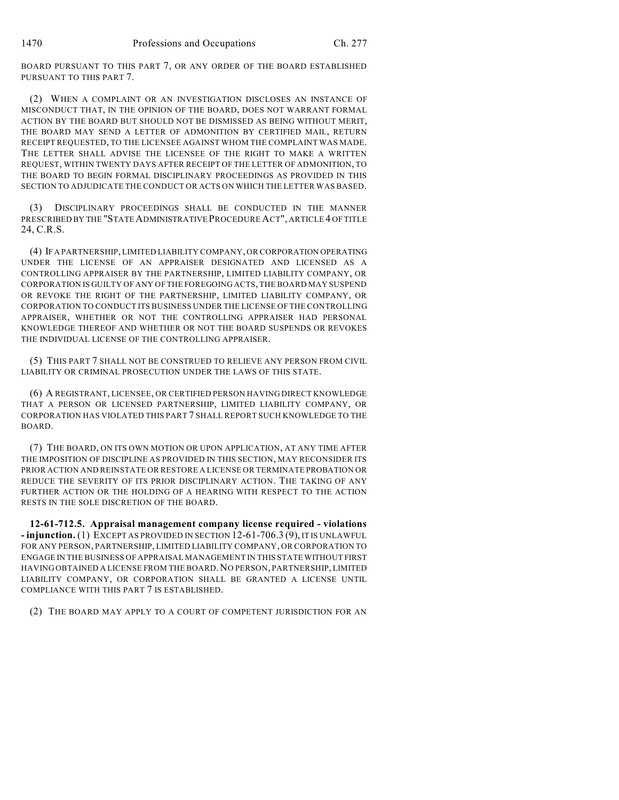BOARD PURSUANT TO THIS PART 7, OR ANY ORDER OF THE BOARD ESTABLISHED PURSUANT TO THIS PART 7.

(2) WHEN A COMPLAINT OR AN INVESTIGATION DISCLOSES AN INSTANCE OF MISCONDUCT THAT, IN THE OPINION OF THE BOARD, DOES NOT WARRANT FORMAL ACTION BY THE BOARD BUT SHOULD NOT BE DISMISSED AS BEING WITHOUT MERIT, THE BOARD MAY SEND A LETTER OF ADMONITION BY CERTIFIED MAIL, RETURN RECEIPT REQUESTED, TO THE LICENSEE AGAINST WHOM THE COMPLAINT WAS MADE. THE LETTER SHALL ADVISE THE LICENSEE OF THE RIGHT TO MAKE A WRITTEN REQUEST, WITHIN TWENTY DAYS AFTER RECEIPT OF THE LETTER OF ADMONITION, TO THE BOARD TO BEGIN FORMAL DISCIPLINARY PROCEEDINGS AS PROVIDED IN THIS SECTION TO ADJUDICATE THE CONDUCT OR ACTS ON WHICH THE LETTER WAS BASED.

(3) DISCIPLINARY PROCEEDINGS SHALL BE CONDUCTED IN THE MANNER PRESCRIBED BY THE "STATE ADMINISTRATIVE PROCEDURE ACT", ARTICLE 4 OF TITLE 24, C.R.S.

(4) IFA PARTNERSHIP, LIMITED LIABILITY COMPANY, OR CORPORATION OPERATING UNDER THE LICENSE OF AN APPRAISER DESIGNATED AND LICENSED AS A CONTROLLING APPRAISER BY THE PARTNERSHIP, LIMITED LIABILITY COMPANY, OR CORPORATION IS GUILTY OF ANY OF THE FOREGOING ACTS, THE BOARD MAY SUSPEND OR REVOKE THE RIGHT OF THE PARTNERSHIP, LIMITED LIABILITY COMPANY, OR CORPORATION TO CONDUCT ITS BUSINESS UNDER THE LICENSE OF THE CONTROLLING APPRAISER, WHETHER OR NOT THE CONTROLLING APPRAISER HAD PERSONAL KNOWLEDGE THEREOF AND WHETHER OR NOT THE BOARD SUSPENDS OR REVOKES THE INDIVIDUAL LICENSE OF THE CONTROLLING APPRAISER.

(5) THIS PART 7 SHALL NOT BE CONSTRUED TO RELIEVE ANY PERSON FROM CIVIL LIABILITY OR CRIMINAL PROSECUTION UNDER THE LAWS OF THIS STATE.

(6) A REGISTRANT, LICENSEE, OR CERTIFIED PERSON HAVING DIRECT KNOWLEDGE THAT A PERSON OR LICENSED PARTNERSHIP, LIMITED LIABILITY COMPANY, OR CORPORATION HAS VIOLATED THIS PART 7 SHALL REPORT SUCH KNOWLEDGE TO THE BOARD.

(7) THE BOARD, ON ITS OWN MOTION OR UPON APPLICATION, AT ANY TIME AFTER THE IMPOSITION OF DISCIPLINE AS PROVIDED IN THIS SECTION, MAY RECONSIDER ITS PRIOR ACTION AND REINSTATE OR RESTORE A LICENSE OR TERMINATE PROBATION OR REDUCE THE SEVERITY OF ITS PRIOR DISCIPLINARY ACTION. THE TAKING OF ANY FURTHER ACTION OR THE HOLDING OF A HEARING WITH RESPECT TO THE ACTION RESTS IN THE SOLE DISCRETION OF THE BOARD.

**12-61-712.5. Appraisal management company license required - violations - injunction.** (1) EXCEPT AS PROVIDED IN SECTION 12-61-706.3 (9), IT IS UNLAWFUL FOR ANY PERSON, PARTNERSHIP, LIMITED LIABILITY COMPANY, OR CORPORATION TO ENGAGE IN THE BUSINESS OF APPRAISAL MANAGEMENT IN THIS STATE WITHOUT FIRST HAVING OBTAINED A LICENSE FROM THE BOARD.NO PERSON, PARTNERSHIP, LIMITED LIABILITY COMPANY, OR CORPORATION SHALL BE GRANTED A LICENSE UNTIL COMPLIANCE WITH THIS PART 7 IS ESTABLISHED.

(2) THE BOARD MAY APPLY TO A COURT OF COMPETENT JURISDICTION FOR AN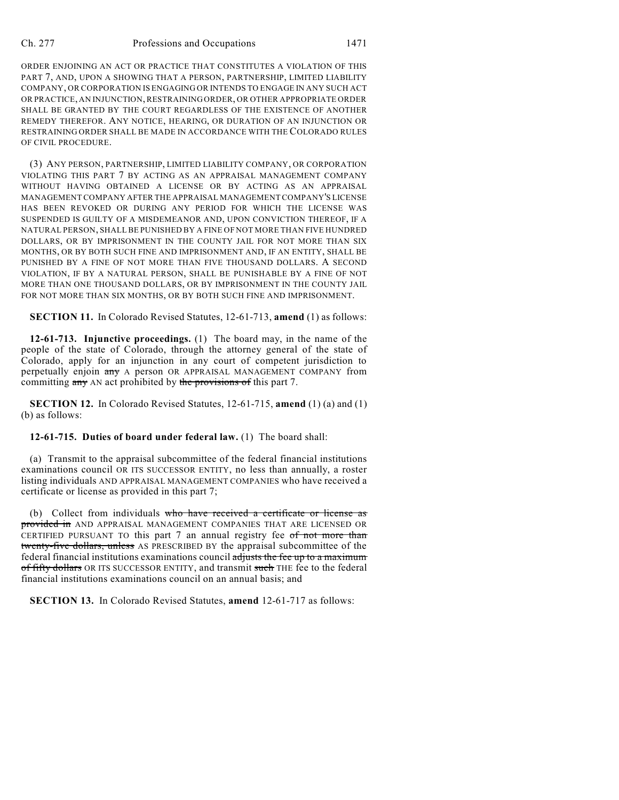ORDER ENJOINING AN ACT OR PRACTICE THAT CONSTITUTES A VIOLATION OF THIS PART 7, AND, UPON A SHOWING THAT A PERSON, PARTNERSHIP, LIMITED LIABILITY COMPANY, OR CORPORATION IS ENGAGING OR INTENDS TO ENGAGE IN ANY SUCH ACT OR PRACTICE, AN INJUNCTION, RESTRAINING ORDER, OR OTHER APPROPRIATE ORDER SHALL BE GRANTED BY THE COURT REGARDLESS OF THE EXISTENCE OF ANOTHER REMEDY THEREFOR. ANY NOTICE, HEARING, OR DURATION OF AN INJUNCTION OR RESTRAINING ORDER SHALL BE MADE IN ACCORDANCE WITH THE COLORADO RULES OF CIVIL PROCEDURE.

(3) ANY PERSON, PARTNERSHIP, LIMITED LIABILITY COMPANY, OR CORPORATION VIOLATING THIS PART 7 BY ACTING AS AN APPRAISAL MANAGEMENT COMPANY WITHOUT HAVING OBTAINED A LICENSE OR BY ACTING AS AN APPRAISAL MANAGEMENT COMPANY AFTER THE APPRAISAL MANAGEMENTCOMPANY'S LICENSE HAS BEEN REVOKED OR DURING ANY PERIOD FOR WHICH THE LICENSE WAS SUSPENDED IS GUILTY OF A MISDEMEANOR AND, UPON CONVICTION THEREOF, IF A NATURAL PERSON, SHALL BE PUNISHED BY A FINE OF NOT MORE THAN FIVE HUNDRED DOLLARS, OR BY IMPRISONMENT IN THE COUNTY JAIL FOR NOT MORE THAN SIX MONTHS, OR BY BOTH SUCH FINE AND IMPRISONMENT AND, IF AN ENTITY, SHALL BE PUNISHED BY A FINE OF NOT MORE THAN FIVE THOUSAND DOLLARS. A SECOND VIOLATION, IF BY A NATURAL PERSON, SHALL BE PUNISHABLE BY A FINE OF NOT MORE THAN ONE THOUSAND DOLLARS, OR BY IMPRISONMENT IN THE COUNTY JAIL FOR NOT MORE THAN SIX MONTHS, OR BY BOTH SUCH FINE AND IMPRISONMENT.

**SECTION 11.** In Colorado Revised Statutes, 12-61-713, **amend** (1) as follows:

**12-61-713. Injunctive proceedings.** (1) The board may, in the name of the people of the state of Colorado, through the attorney general of the state of Colorado, apply for an injunction in any court of competent jurisdiction to perpetually enjoin any A person OR APPRAISAL MANAGEMENT COMPANY from committing any AN act prohibited by the provisions of this part 7.

**SECTION 12.** In Colorado Revised Statutes, 12-61-715, **amend** (1) (a) and (1) (b) as follows:

## **12-61-715. Duties of board under federal law.** (1) The board shall:

(a) Transmit to the appraisal subcommittee of the federal financial institutions examinations council OR ITS SUCCESSOR ENTITY, no less than annually, a roster listing individuals AND APPRAISAL MANAGEMENT COMPANIES who have received a certificate or license as provided in this part 7;

(b) Collect from individuals who have received a certificate or license as provided in AND APPRAISAL MANAGEMENT COMPANIES THAT ARE LICENSED OR CERTIFIED PURSUANT TO this part  $7$  an annual registry fee of not more than twenty-five dollars, unless AS PRESCRIBED BY the appraisal subcommittee of the federal financial institutions examinations council adjusts the fee up to a maximum of fifty dollars OR ITS SUCCESSOR ENTITY, and transmit such THE fee to the federal financial institutions examinations council on an annual basis; and

**SECTION 13.** In Colorado Revised Statutes, **amend** 12-61-717 as follows: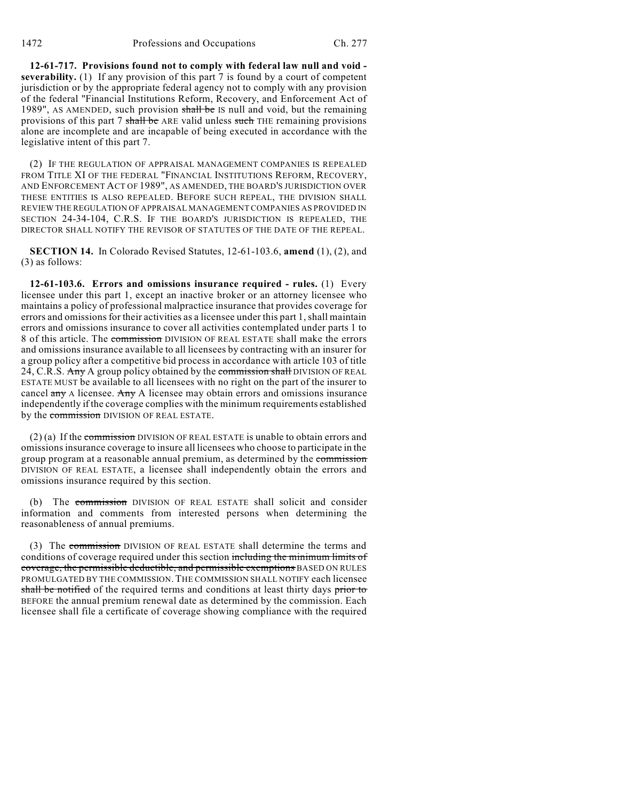**12-61-717. Provisions found not to comply with federal law null and void severability.** (1) If any provision of this part 7 is found by a court of competent jurisdiction or by the appropriate federal agency not to comply with any provision of the federal "Financial Institutions Reform, Recovery, and Enforcement Act of 1989", AS AMENDED, such provision shall be IS null and void, but the remaining provisions of this part 7 shall be ARE valid unless such THE remaining provisions alone are incomplete and are incapable of being executed in accordance with the legislative intent of this part 7.

(2) IF THE REGULATION OF APPRAISAL MANAGEMENT COMPANIES IS REPEALED FROM TITLE XI OF THE FEDERAL "FINANCIAL INSTITUTIONS REFORM, RECOVERY, AND ENFORCEMENT ACT OF 1989", AS AMENDED, THE BOARD'S JURISDICTION OVER THESE ENTITIES IS ALSO REPEALED. BEFORE SUCH REPEAL, THE DIVISION SHALL REVIEW THE REGULATION OF APPRAISAL MANAGEMENT COMPANIES AS PROVIDED IN SECTION 24-34-104, C.R.S. IF THE BOARD'S JURISDICTION IS REPEALED, THE DIRECTOR SHALL NOTIFY THE REVISOR OF STATUTES OF THE DATE OF THE REPEAL.

**SECTION 14.** In Colorado Revised Statutes, 12-61-103.6, **amend** (1), (2), and (3) as follows:

**12-61-103.6. Errors and omissions insurance required - rules.** (1) Every licensee under this part 1, except an inactive broker or an attorney licensee who maintains a policy of professional malpractice insurance that provides coverage for errors and omissions for their activities as a licensee under this part 1, shall maintain errors and omissions insurance to cover all activities contemplated under parts 1 to 8 of this article. The commission DIVISION OF REAL ESTATE shall make the errors and omissions insurance available to all licensees by contracting with an insurer for a group policy after a competitive bid process in accordance with article 103 of title 24, C.R.S. Any A group policy obtained by the commission shall DIVISION OF REAL ESTATE MUST be available to all licensees with no right on the part of the insurer to cancel any A licensee. Any A licensee may obtain errors and omissions insurance independently if the coverage complies with the minimum requirements established by the commission DIVISION OF REAL ESTATE.

 $(2)$  (a) If the commission DIVISION OF REAL ESTATE is unable to obtain errors and omissionsinsurance coverage to insure all licensees who choose to participate in the group program at a reasonable annual premium, as determined by the commission DIVISION OF REAL ESTATE, a licensee shall independently obtain the errors and omissions insurance required by this section.

(b) The commission DIVISION OF REAL ESTATE shall solicit and consider information and comments from interested persons when determining the reasonableness of annual premiums.

(3) The commission DIVISION OF REAL ESTATE shall determine the terms and conditions of coverage required under this section including the minimum limits of coverage, the permissible deductible, and permissible exemptions BASED ON RULES PROMULGATED BY THE COMMISSION. THE COMMISSION SHALL NOTIFY each licensee shall be notified of the required terms and conditions at least thirty days prior to BEFORE the annual premium renewal date as determined by the commission. Each licensee shall file a certificate of coverage showing compliance with the required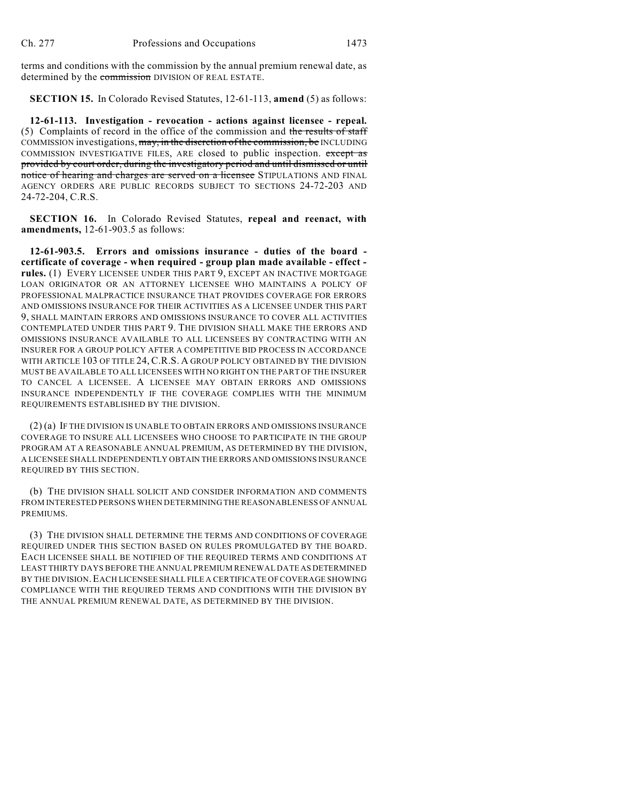terms and conditions with the commission by the annual premium renewal date, as determined by the commission DIVISION OF REAL ESTATE.

**SECTION 15.** In Colorado Revised Statutes, 12-61-113, **amend** (5) as follows:

**12-61-113. Investigation - revocation - actions against licensee - repeal.** (5) Complaints of record in the office of the commission and the results of staff COMMISSION investigations, may, in the discretion of the commission, be INCLUDING COMMISSION INVESTIGATIVE FILES, ARE closed to public inspection. except as provided by court order, during the investigatory period and until dismissed or until notice of hearing and charges are served on a licensee STIPULATIONS AND FINAL AGENCY ORDERS ARE PUBLIC RECORDS SUBJECT TO SECTIONS 24-72-203 AND 24-72-204, C.R.S.

**SECTION 16.** In Colorado Revised Statutes, **repeal and reenact, with amendments,** 12-61-903.5 as follows:

**12-61-903.5. Errors and omissions insurance - duties of the board certificate of coverage - when required - group plan made available - effect rules.** (1) EVERY LICENSEE UNDER THIS PART 9, EXCEPT AN INACTIVE MORTGAGE LOAN ORIGINATOR OR AN ATTORNEY LICENSEE WHO MAINTAINS A POLICY OF PROFESSIONAL MALPRACTICE INSURANCE THAT PROVIDES COVERAGE FOR ERRORS AND OMISSIONS INSURANCE FOR THEIR ACTIVITIES AS A LICENSEE UNDER THIS PART 9, SHALL MAINTAIN ERRORS AND OMISSIONS INSURANCE TO COVER ALL ACTIVITIES CONTEMPLATED UNDER THIS PART 9. THE DIVISION SHALL MAKE THE ERRORS AND OMISSIONS INSURANCE AVAILABLE TO ALL LICENSEES BY CONTRACTING WITH AN INSURER FOR A GROUP POLICY AFTER A COMPETITIVE BID PROCESS IN ACCORDANCE WITH ARTICLE 103 OF TITLE 24,C.R.S. A GROUP POLICY OBTAINED BY THE DIVISION MUST BE AVAILABLE TO ALL LICENSEES WITH NO RIGHT ON THE PART OF THE INSURER TO CANCEL A LICENSEE. A LICENSEE MAY OBTAIN ERRORS AND OMISSIONS INSURANCE INDEPENDENTLY IF THE COVERAGE COMPLIES WITH THE MINIMUM REQUIREMENTS ESTABLISHED BY THE DIVISION.

(2) (a) IF THE DIVISION IS UNABLE TO OBTAIN ERRORS AND OMISSIONS INSURANCE COVERAGE TO INSURE ALL LICENSEES WHO CHOOSE TO PARTICIPATE IN THE GROUP PROGRAM AT A REASONABLE ANNUAL PREMIUM, AS DETERMINED BY THE DIVISION, A LICENSEE SHALL INDEPENDENTLY OBTAIN THE ERRORS AND OMISSIONS INSURANCE REQUIRED BY THIS SECTION.

(b) THE DIVISION SHALL SOLICIT AND CONSIDER INFORMATION AND COMMENTS FROM INTERESTED PERSONS WHEN DETERMINING THE REASONABLENESS OF ANNUAL PREMIUMS.

(3) THE DIVISION SHALL DETERMINE THE TERMS AND CONDITIONS OF COVERAGE REQUIRED UNDER THIS SECTION BASED ON RULES PROMULGATED BY THE BOARD. EACH LICENSEE SHALL BE NOTIFIED OF THE REQUIRED TERMS AND CONDITIONS AT LEAST THIRTY DAYS BEFORE THE ANNUAL PREMIUM RENEWAL DATE AS DETERMINED BY THE DIVISION.EACH LICENSEE SHALL FILE A CERTIFICATE OF COVERAGE SHOWING COMPLIANCE WITH THE REQUIRED TERMS AND CONDITIONS WITH THE DIVISION BY THE ANNUAL PREMIUM RENEWAL DATE, AS DETERMINED BY THE DIVISION.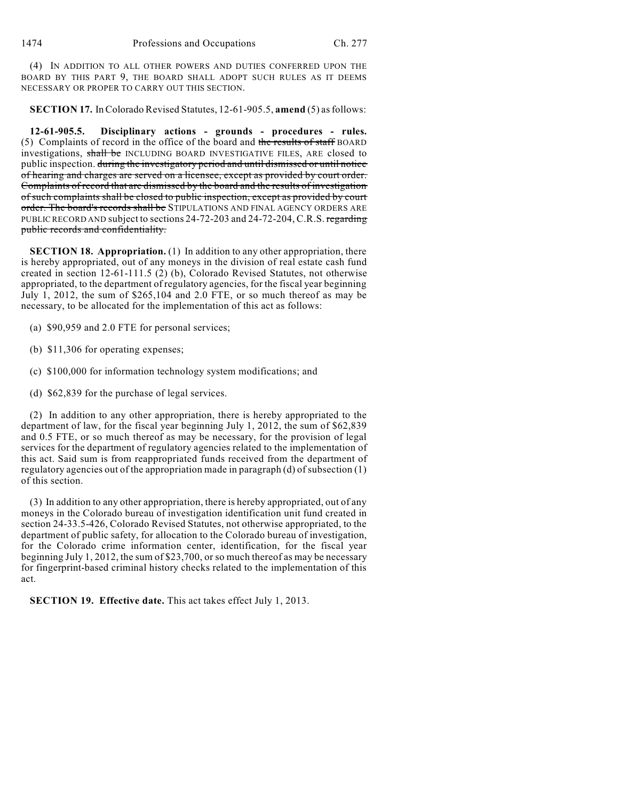(4) IN ADDITION TO ALL OTHER POWERS AND DUTIES CONFERRED UPON THE BOARD BY THIS PART 9, THE BOARD SHALL ADOPT SUCH RULES AS IT DEEMS NECESSARY OR PROPER TO CARRY OUT THIS SECTION.

**SECTION 17.** InColorado Revised Statutes, 12-61-905.5, **amend** (5) asfollows:

**12-61-905.5. Disciplinary actions - grounds - procedures - rules.** (5) Complaints of record in the office of the board and the results of staff BOARD investigations, shall be INCLUDING BOARD INVESTIGATIVE FILES, ARE closed to public inspection. during the investigatory period and until dismissed or until notice of hearing and charges are served on a licensee, except as provided by court order. Complaints of record that are dismissed by the board and the results of investigation of such complaints shall be closed to public inspection, except as provided by court order. The board's records shall be STIPULATIONS AND FINAL AGENCY ORDERS ARE PUBLIC RECORD AND subject to sections 24-72-203 and 24-72-204, C.R.S. regarding public records and confidentiality.

**SECTION 18. Appropriation.** (1) In addition to any other appropriation, there is hereby appropriated, out of any moneys in the division of real estate cash fund created in section 12-61-111.5 (2) (b), Colorado Revised Statutes, not otherwise appropriated, to the department of regulatory agencies, for the fiscal year beginning July 1, 2012, the sum of \$265,104 and 2.0 FTE, or so much thereof as may be necessary, to be allocated for the implementation of this act as follows:

- (a) \$90,959 and 2.0 FTE for personal services;
- (b) \$11,306 for operating expenses;
- (c) \$100,000 for information technology system modifications; and
- (d) \$62,839 for the purchase of legal services.

(2) In addition to any other appropriation, there is hereby appropriated to the department of law, for the fiscal year beginning July 1, 2012, the sum of \$62,839 and 0.5 FTE, or so much thereof as may be necessary, for the provision of legal services for the department of regulatory agencies related to the implementation of this act. Said sum is from reappropriated funds received from the department of regulatory agencies out of the appropriation made in paragraph (d) of subsection  $(1)$ of this section.

(3) In addition to any other appropriation, there is hereby appropriated, out of any moneys in the Colorado bureau of investigation identification unit fund created in section 24-33.5-426, Colorado Revised Statutes, not otherwise appropriated, to the department of public safety, for allocation to the Colorado bureau of investigation, for the Colorado crime information center, identification, for the fiscal year beginning July 1, 2012, the sum of \$23,700, or so much thereof as may be necessary for fingerprint-based criminal history checks related to the implementation of this act.

**SECTION 19. Effective date.** This act takes effect July 1, 2013.